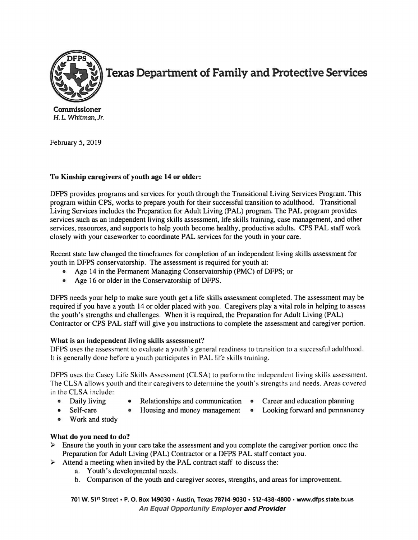

**Texas Department of Family and Protective Services** 

**Commissioner**  H. L. Whitman, Jr.

February 5, 2019

## **To Kinship caregivers of youth age 14 or older:**

DFPS provides programs and services for youth through the Transitional Living Services Program. This program within CPS, works to prepare youth for their successful transition to adulthood. Transitional Living Services includes the Preparation for Adult Living (PAL) program. The PAL program provides services such as an independent living skills assessment, life skills training, case management, and other services, resources, and supports to help youth become healthy, productive adults. CPS PAL staff work closely with your caseworker to coordinate PAL services for the youth in your care.

Recent state law changed the timeframes for completion of an independent living skills assessment for youth in DFPS conservatorship. The assessment is required for youth at:

- Age 14 in the Permanent Managing Conservatorship (PMC) of DFPS; or
- Age 16 or older in the Conservatorship of DFPS.

DFPS needs your help to make sure youth get a life skills assessment completed. The assessment may be required if you have a youth 14 or older placed with you. Caregivers play a vital role in helping to assess the youth's strengths and challenges. When it is required, the Preparation for Adult Living (PAL) Contractor or CPS PAL staff will give you instructions to complete the assessment and caregiver portion.

## **What is an independent living skills assessment'!**

DFPS uses the assessment to evaluate a youth's general readiness to transition to a successful adulthood. It is generally done before a youth participates in PAL life skills training.

DFPS uses the Casey Life Skills Assessment (CLSA) to perform the independent living skills assessment. The CLSA allows youth and their caregivers to determine the youth's strengths and needs. Areas covered in the CLSA include:

- 
- Daily living Relationships and communication Career and education planning<br>• Self-care Housing and money management Looking forward and permaner
- - $\mu$  Housing and money management Looking forward and permanency
- Work and study

## **What do you need to do?**

- What do you heed to do:<br> $\triangleright$  Ensure the youth in your care take the assessment and you complete the caregiver portion once the Preparation for Adult Living (PAL) Contractor or a DFPS PAL staff contact you.
- Attend a meeting when invited by the PAL contract staff to discuss the:
	- a. Youth's developmental needs.
	- b. Comparison of the youth and caregiver scores, strengths, and areas for improvement.

**701 W. 51 st Street• P. 0. Box 149030** • **Austin, Texas 78714-9030** • **512-438-4800** • **www.dfps.state.tx.us An Equal Opportunity Employer and Provider**